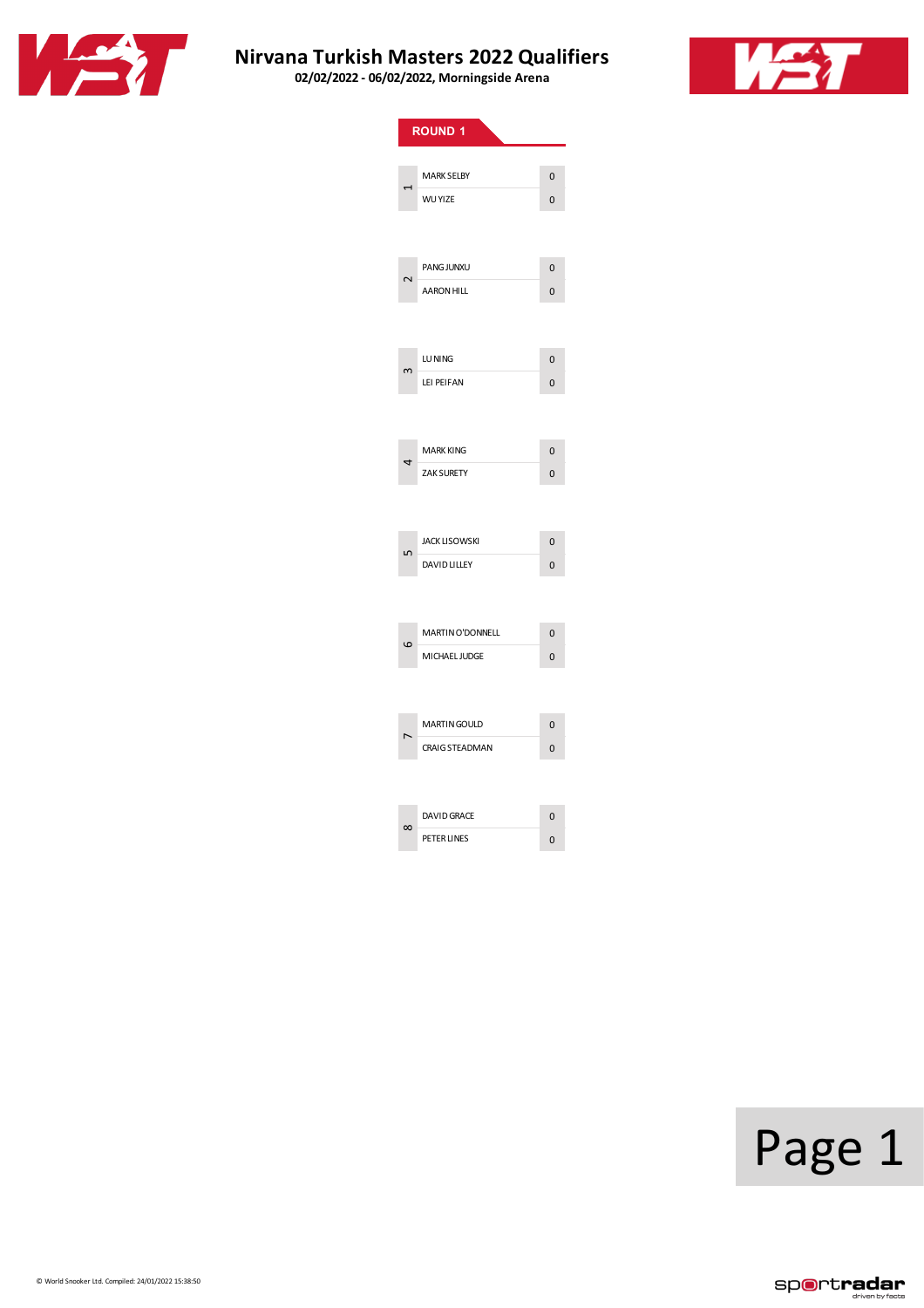



|          | <b>ROUND 1</b>                      |                |  |
|----------|-------------------------------------|----------------|--|
|          |                                     |                |  |
|          | <b>MARK SELBY</b><br><b>WU YIZE</b> | 0              |  |
|          |                                     | 0              |  |
|          |                                     |                |  |
|          | PANG JUNXU                          | $\overline{0}$ |  |
|          | AARON HILL                          | 0              |  |
|          |                                     |                |  |
|          |                                     |                |  |
|          | LU NING                             | 0              |  |
|          | LEI PEIFAN                          | 0              |  |
|          |                                     |                |  |
|          | <b>MARK KING</b>                    | $\overline{0}$ |  |
| 4        | ZAK SURETY                          | 0              |  |
|          |                                     |                |  |
|          |                                     |                |  |
|          | <b>JACK LISOWSKI</b>                | $\overline{0}$ |  |
|          | <b>DAVID LILLEY</b>                 | 0              |  |
|          |                                     |                |  |
|          | <b>MARTIN O'DONNELL</b>             | 0              |  |
| ဖ        | MICHAEL JUDGE                       | $\overline{0}$ |  |
|          |                                     |                |  |
|          |                                     |                |  |
|          | <b>MARTIN GOULD</b>                 | 0              |  |
|          | <b>CRAIG STEADMAN</b>               | $\overline{0}$ |  |
|          |                                     |                |  |
| $\infty$ | <b>DAVID GRACE</b>                  | 0              |  |
|          | PETER LINES                         | 0              |  |

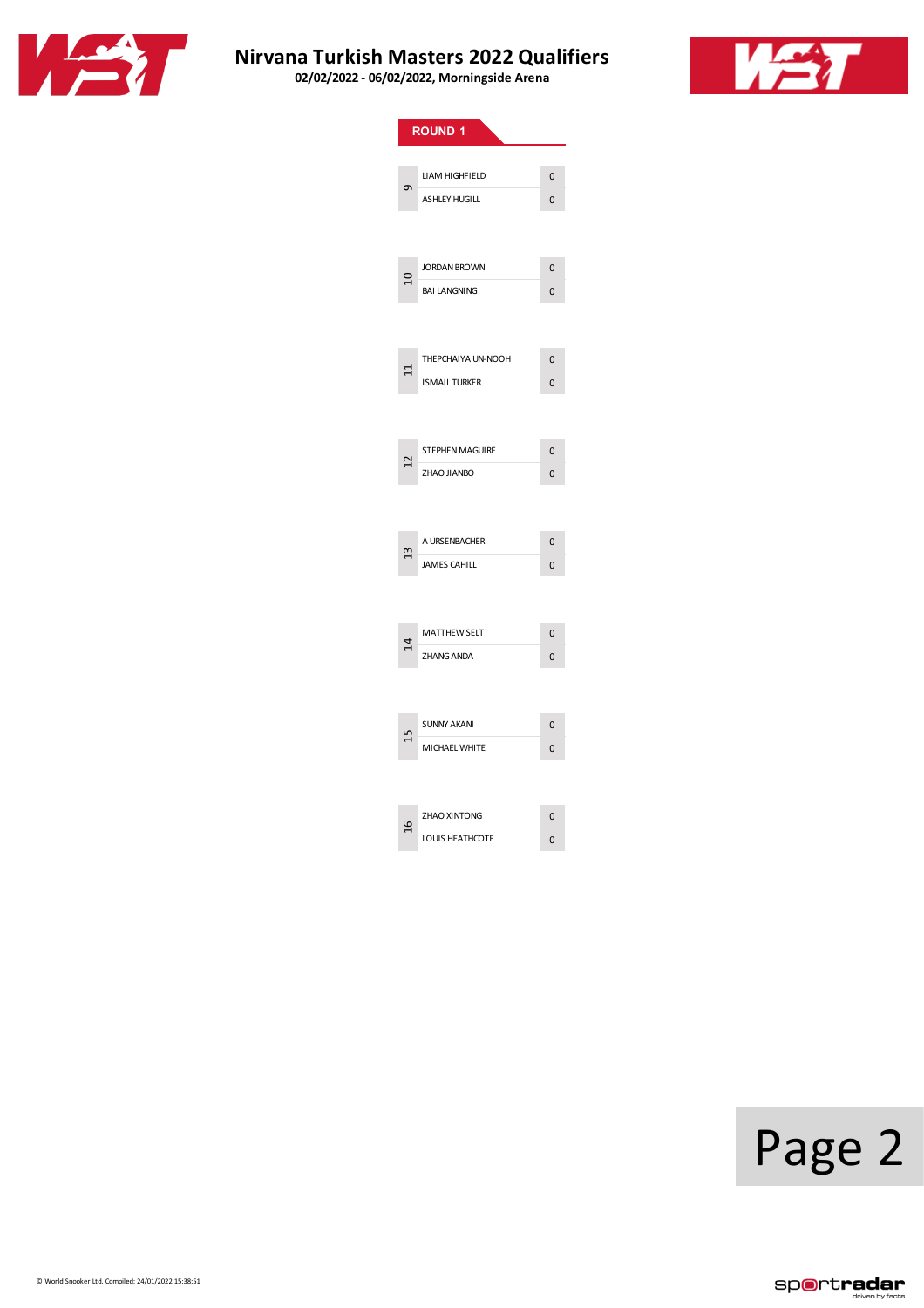



|                         | <b>ROUND 1</b>       |                |
|-------------------------|----------------------|----------------|
|                         |                      |                |
| Ō                       | LIAM HIGHFIELD       | $\overline{0}$ |
|                         | <b>ASHLEY HUGILL</b> | 0              |
|                         |                      |                |
|                         | <b>JORDAN BROWN</b>  | 0              |
| $\overline{\mathsf{C}}$ | <b>BAI LANGNING</b>  | $\overline{0}$ |
|                         |                      |                |
|                         |                      |                |
|                         | THEPCHAIYA UN-NOOH   | $\Omega$       |
|                         | <b>ISMAILTÜRKER</b>  | 0              |
|                         |                      |                |
|                         |                      |                |
| 2                       | STEPHEN MAGUIRE      | 0              |
|                         | <b>ZHAO JIANBO</b>   | 0              |
|                         |                      |                |
|                         | A URSENBACHER        | $\overline{0}$ |
| Ξ                       | <b>JAMES CAHILL</b>  | 0              |
|                         |                      |                |
|                         |                      |                |
| $\vec{r}$               | <b>MATTHEW SELT</b>  | 0              |
|                         | <b>ZHANG ANDA</b>    | $\overline{0}$ |
|                         |                      |                |
|                         |                      |                |
| 51                      | <b>SUNNY AKANI</b>   | $\overline{0}$ |
|                         | <b>MICHAEL WHITE</b> | $\overline{0}$ |
|                         |                      |                |
|                         | <b>ZHAO XINTONG</b>  | 0              |
| ٩                       | LOUIS HEATHCOTE      | 0              |

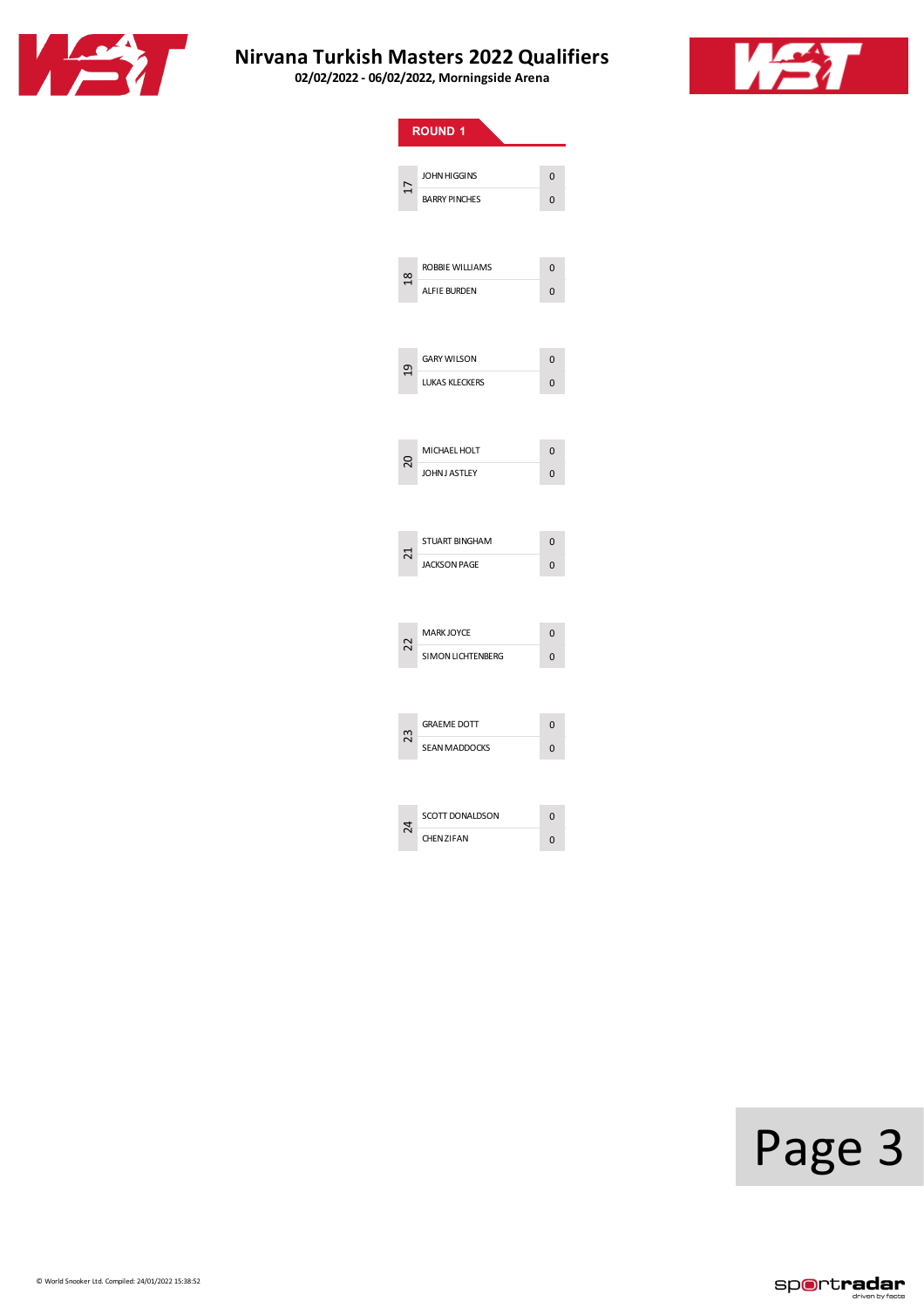



|                     | ROUND <sub>1</sub>    |                |
|---------------------|-----------------------|----------------|
|                     |                       |                |
| ₽                   | <b>JOHN HIGGINS</b>   | 0              |
|                     | <b>BARRY PINCHES</b>  | $\overline{0}$ |
|                     |                       |                |
|                     | ROBBIE WILLIAMS       | $\overline{0}$ |
| $\overline{\infty}$ |                       |                |
|                     | <b>ALFIE BURDEN</b>   | 0              |
|                     |                       |                |
| $\overline{a}$      | <b>GARY WILSON</b>    | $\overline{0}$ |
|                     | <b>LUKAS KLECKERS</b> | 0              |
|                     |                       |                |
|                     |                       |                |
| 20                  | MICHAEL HOLT          | 0              |
|                     | JOHN J ASTLEY         | 0              |
|                     |                       |                |
| ದ                   | STUART BINGHAM        | $\overline{0}$ |
|                     | <b>JACKSON PAGE</b>   | 0              |
|                     |                       |                |
|                     | <b>MARK JOYCE</b>     | 0              |
| 22                  | SIMON LICHTENBERG     | $\overline{0}$ |
|                     |                       |                |
| 23                  | <b>GRAEME DOTT</b>    | $\overline{0}$ |
|                     | <b>SEAN MADDOCKS</b>  | 0              |
|                     |                       |                |
| 4                   | SCOTT DONALDSON       | 0              |
|                     | <b>CHEN ZIFAN</b>     | $\overline{0}$ |
|                     |                       |                |

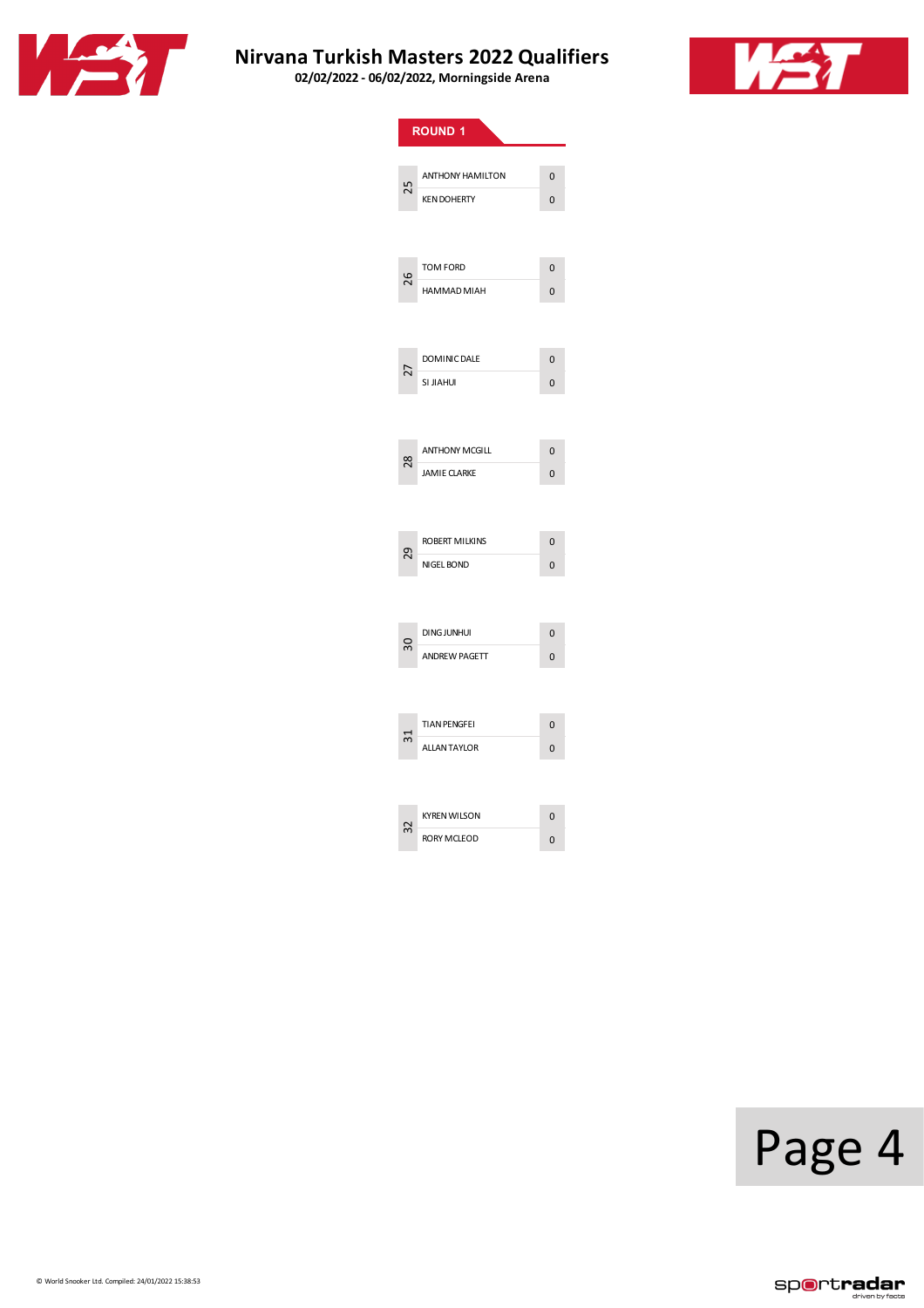



|               | <b>ROUND 1</b>          |                |
|---------------|-------------------------|----------------|
|               |                         |                |
| 25            | <b>ANTHONY HAMILTON</b> | 0              |
|               | <b>KEN DOHERTY</b>      | $\mathbf 0$    |
|               |                         |                |
|               |                         |                |
| 26            | <b>TOM FORD</b>         | $\overline{0}$ |
|               | HAMMAD MIAH             | $\Omega$       |
|               |                         |                |
|               |                         |                |
|               | <b>DOMINIC DALE</b>     | $\mathbf 0$    |
| 27            | SI JIAHUI               | $\overline{0}$ |
|               |                         |                |
|               |                         |                |
|               | <b>ANTHONY MCGILL</b>   | $\overline{0}$ |
| $\frac{8}{2}$ | <b>JAMIE CLARKE</b>     | 0              |
|               |                         |                |
|               |                         |                |
|               | ROBERT MILKINS          | $\Omega$       |
| 29            | NIGEL BOND              | 0              |
|               |                         |                |
|               |                         |                |
|               | <b>DING JUNHUI</b>      | $\overline{0}$ |
| 90            | <b>ANDREW PAGETT</b>    | $\overline{0}$ |
|               |                         |                |
|               |                         |                |
|               | <b>TIAN PENGFEI</b>     | 0              |
| ಸ             | <b>ALLANTAYLOR</b>      | 0              |
|               |                         |                |
|               |                         |                |
|               | <b>KYREN WILSON</b>     | 0              |
|               | <b>RORY MCLEOD</b>      | $\overline{0}$ |
|               |                         |                |

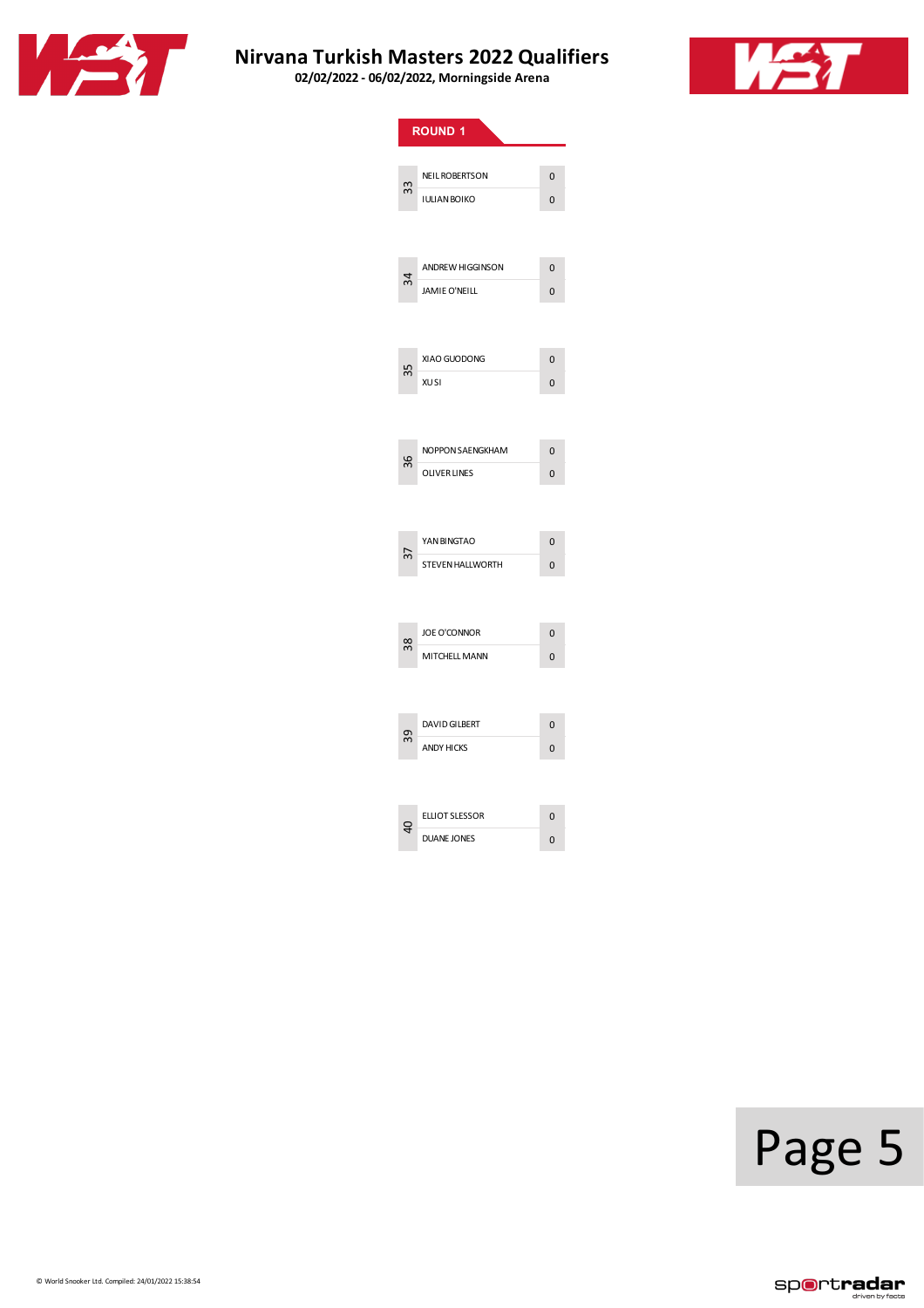



|    | <b>ROUND 1</b>                            |                     |
|----|-------------------------------------------|---------------------|
|    |                                           |                     |
| 33 | <b>NEIL ROBERTSON</b>                     | $\overline{0}$      |
|    | <b>IULIAN BOIKO</b>                       | 0                   |
|    |                                           |                     |
| 34 | ANDREW HIGGINSON                          | $\overline{0}$      |
|    | <b>JAMIE O'NEILL</b>                      | 0                   |
|    |                                           |                     |
| 35 | XIAO GUODONG                              | $\overline{0}$      |
|    | <b>XUSI</b>                               | $\Omega$            |
|    |                                           |                     |
|    | NOPPON SAENGKHAM                          | 0                   |
| 36 | <b>OLIVER LINES</b>                       | $\overline{0}$      |
|    |                                           |                     |
|    | YAN BINGTAO                               | $\overline{0}$      |
| 37 | STEVEN HALLWORTH                          | $\overline{0}$      |
|    |                                           |                     |
|    | <b>JOE O'CONNOR</b>                       | $\overline{0}$      |
| 38 | MITCHELL MANN                             | $\Omega$            |
|    |                                           |                     |
|    |                                           |                     |
| 59 | <b>DAVID GILBERT</b><br><b>ANDY HICKS</b> | 0<br>$\overline{0}$ |
|    |                                           |                     |
|    |                                           |                     |
| 9  | <b>ELLIOT SLESSOR</b>                     | 0                   |
|    | <b>DUANE JONES</b>                        | $\overline{0}$      |

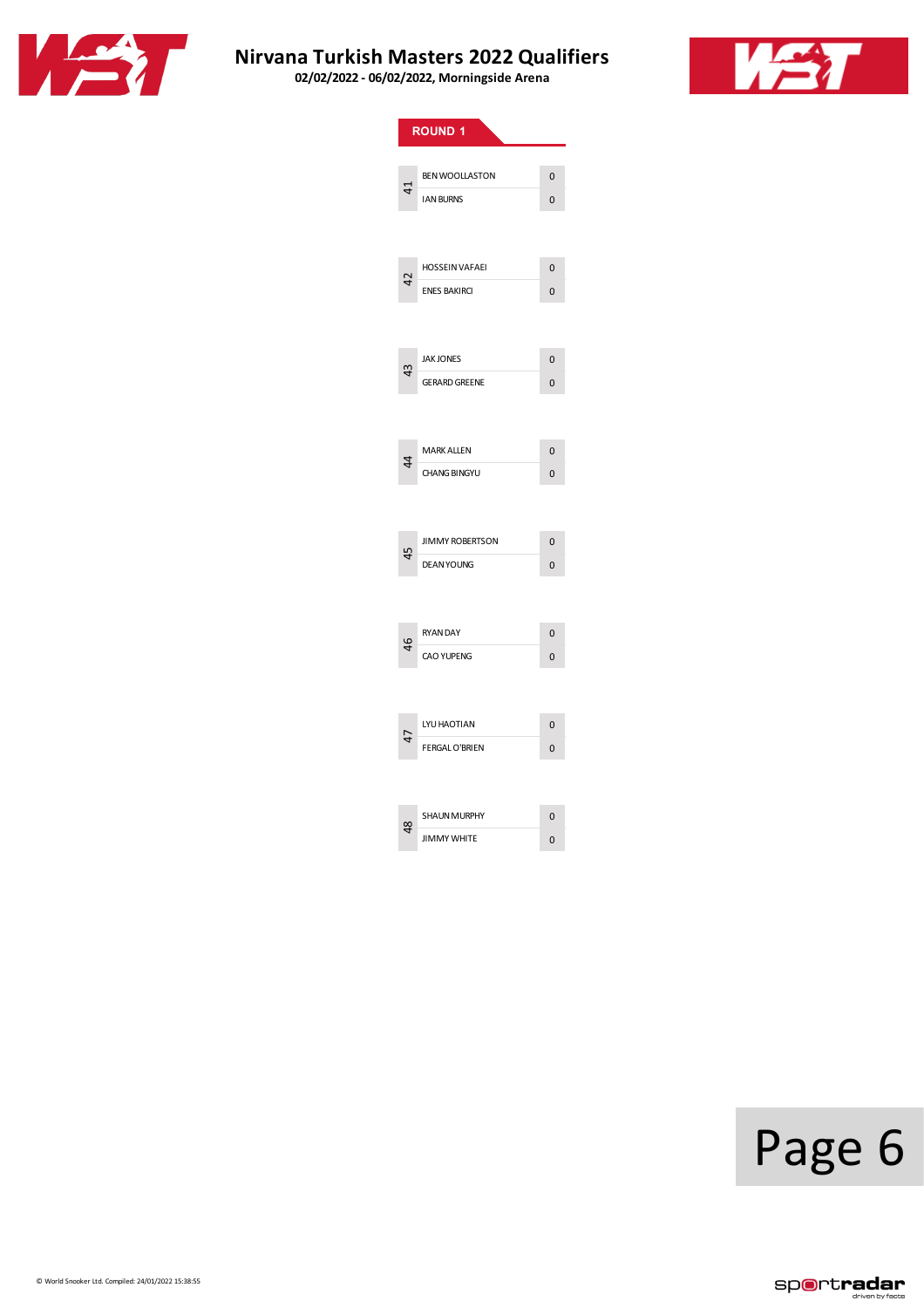



|                | <b>ROUND 1</b>         |                |
|----------------|------------------------|----------------|
|                |                        |                |
| $\overline{4}$ | <b>BEN WOOLLASTON</b>  | $\overline{0}$ |
|                | <b>IAN BURNS</b>       | 0              |
|                |                        |                |
| $\overline{4}$ | <b>HOSSEIN VAFAEI</b>  | $\Omega$       |
|                | <b>ENES BAKIRCI</b>    | 0              |
|                |                        |                |
| 43             | <b>JAK JONES</b>       | $\mathbf 0$    |
|                | <b>GERARD GREENE</b>   | 0              |
|                |                        |                |
| 4              | <b>MARK ALLEN</b>      | $\overline{0}$ |
|                | <b>CHANG BINGYU</b>    | 0              |
|                |                        |                |
| 45             | <b>JIMMY ROBERTSON</b> | $\Omega$       |
|                | <b>DEAN YOUNG</b>      | 0              |
|                |                        |                |
| $\frac{4}{6}$  | <b>RYAN DAY</b>        | $\overline{0}$ |
|                | <b>CAO YUPENG</b>      | $\overline{0}$ |
|                |                        |                |
|                | LYU HAOTIAN            | 0              |
| 47             | <b>FERGAL O'BRIEN</b>  | $\overline{0}$ |
|                |                        |                |
| ఞ              | <b>SHAUN MURPHY</b>    | 0              |
|                | <b>JIMMY WHITE</b>     | 0              |
|                |                        |                |

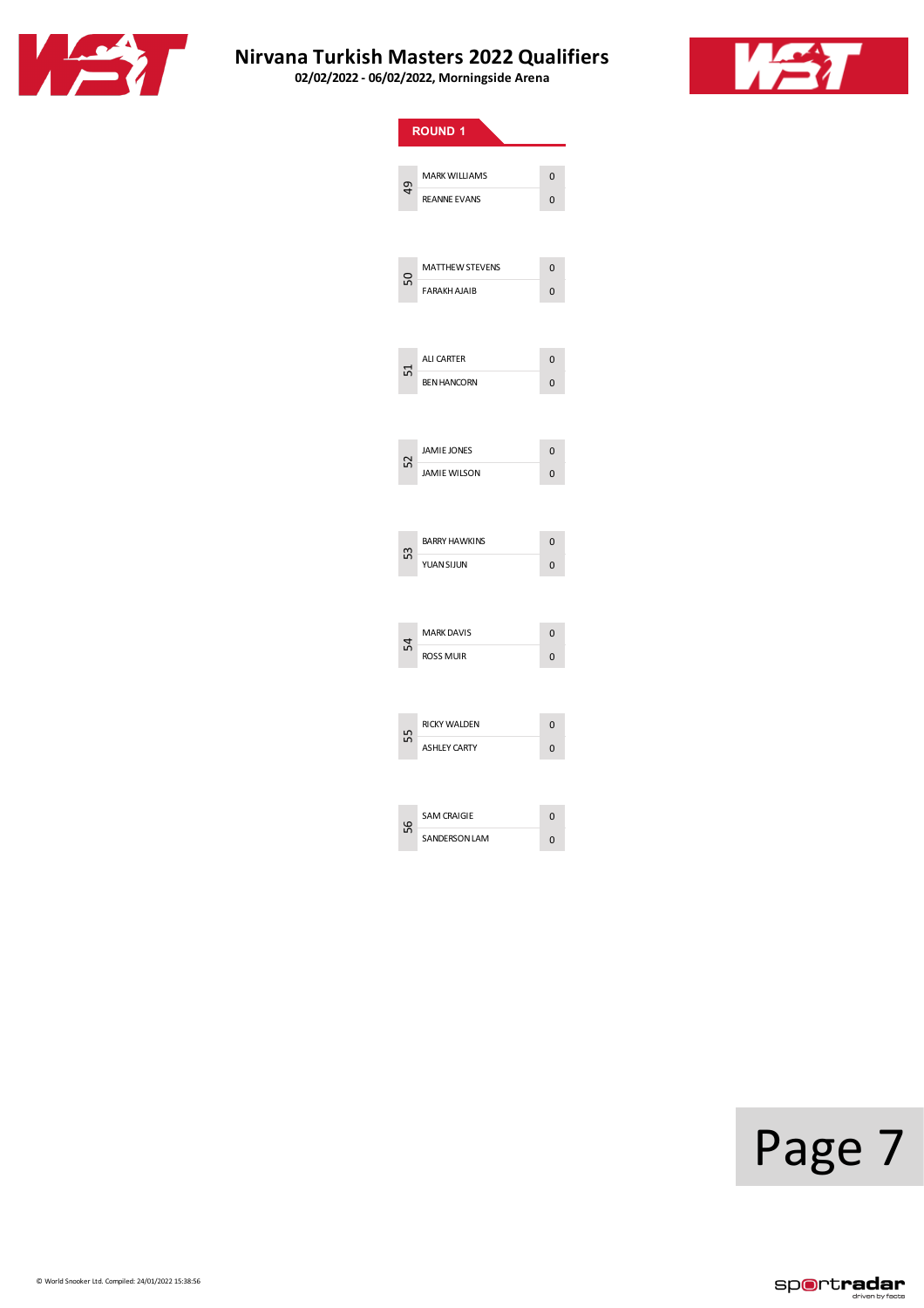



|               | <b>ROUND 1</b>         |                |
|---------------|------------------------|----------------|
|               |                        |                |
| $\frac{1}{2}$ | <b>MARK WILLIAMS</b>   | 0              |
|               | <b>REANNE EVANS</b>    | 0              |
|               |                        |                |
|               |                        |                |
| 50            | <b>MATTHEW STEVENS</b> | $\overline{0}$ |
|               | <b>FARAKH AJAIB</b>    | $\overline{0}$ |
|               |                        |                |
|               | <b>ALI CARTER</b>      | $\overline{0}$ |
| 51            | <b>BEN HANCORN</b>     | 0              |
|               |                        |                |
|               |                        |                |
|               | <b>JAMIE JONES</b>     | $\overline{0}$ |
| 52            | <b>JAMIE WILSON</b>    | 0              |
|               |                        |                |
|               |                        |                |
| 53            | <b>BARRY HAWKINS</b>   | $\overline{0}$ |
|               | <b>YUAN SIJUN</b>      | $\overline{0}$ |
|               |                        |                |
|               |                        |                |
| 54            | <b>MARK DAVIS</b>      | $\overline{0}$ |
|               | ROSS MUIR              | $\overline{0}$ |
|               |                        |                |
|               | RICKY WALDEN           | $\overline{0}$ |
| 55            | <b>ASHLEY CARTY</b>    | 0              |
|               |                        |                |
|               |                        |                |
| ပိုင          | <b>SAM CRAIGIE</b>     | $\overline{0}$ |
|               | <b>SANDERSON LAM</b>   | $\overline{0}$ |
|               |                        |                |